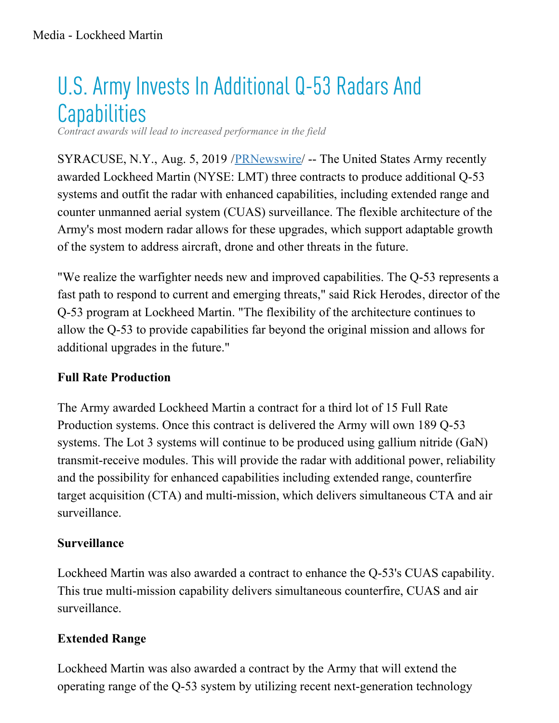# U.S. Army Invests In Additional Q-53 Radars And **Capabilities**

*Contract awards will lead to increased performance in the field*

SYRACUSE, N.Y., Aug. 5, 2019 /**[PRNewswire](http://www.prnewswire.com/)/** -- The United States Army recently awarded Lockheed Martin (NYSE: LMT) three contracts to produce additional Q-53 systems and outfit the radar with enhanced capabilities, including extended range and counter unmanned aerial system (CUAS) surveillance. The flexible architecture of the Army's most modern radar allows for these upgrades, which support adaptable growth of the system to address aircraft, drone and other threats in the future.

"We realize the warfighter needs new and improved capabilities. The Q-53 represents a fast path to respond to current and emerging threats," said Rick Herodes, director of the Q-53 program at Lockheed Martin. "The flexibility of the architecture continues to allow the Q-53 to provide capabilities far beyond the original mission and allows for additional upgrades in the future."

### **Full Rate Production**

The Army awarded Lockheed Martin a contract for a third lot of 15 Full Rate Production systems. Once this contract is delivered the Army will own 189 Q-53 systems. The Lot 3 systems will continue to be produced using gallium nitride (GaN) transmit-receive modules. This will provide the radar with additional power, reliability and the possibility for enhanced capabilities including extended range, counterfire target acquisition (CTA) and multi-mission, which delivers simultaneous CTA and air surveillance.

### **Surveillance**

Lockheed Martin was also awarded a contract to enhance the Q-53's CUAS capability. This true multi-mission capability delivers simultaneous counterfire, CUAS and air surveillance.

### **Extended Range**

Lockheed Martin was also awarded a contract by the Army that will extend the operating range of the Q-53 system by utilizing recent next-generation technology